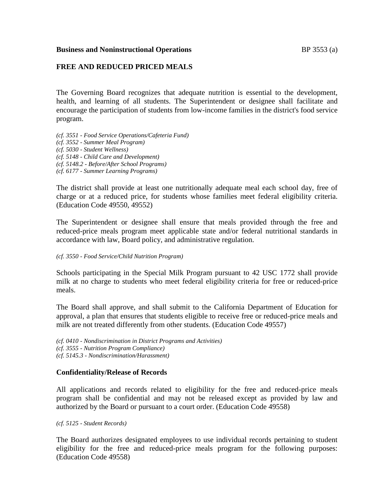### **Business and Noninstructional Operations BP** 3553 (a)

# **FREE AND REDUCED PRICED MEALS**

The Governing Board recognizes that adequate nutrition is essential to the development, health, and learning of all students. The Superintendent or designee shall facilitate and encourage the participation of students from low-income families in the district's food service program.

*(cf. 3551 - Food Service Operations/Cafeteria Fund)*

*(cf. 3552 - Summer Meal Program)*

*(cf. 5030 - Student Wellness)*

*(cf. 5148 - Child Care and Development)*

*(cf. 5148.2 - Before/After School Programs)*

*(cf. 6177 - Summer Learning Programs)*

The district shall provide at least one nutritionally adequate meal each school day, free of charge or at a reduced price, for students whose families meet federal eligibility criteria. (Education Code 49550, 49552)

The Superintendent or designee shall ensure that meals provided through the free and reduced-price meals program meet applicable state and/or federal nutritional standards in accordance with law, Board policy, and administrative regulation.

### *(cf. 3550 - Food Service/Child Nutrition Program)*

Schools participating in the Special Milk Program pursuant to 42 USC 1772 shall provide milk at no charge to students who meet federal eligibility criteria for free or reduced-price meals.

The Board shall approve, and shall submit to the California Department of Education for approval, a plan that ensures that students eligible to receive free or reduced-price meals and milk are not treated differently from other students. (Education Code 49557)

*(cf. 0410 - Nondiscrimination in District Programs and Activities) (cf. 3555 - Nutrition Program Compliance)*

*(cf. 5145.3 - Nondiscrimination/Harassment)*

## **Confidentiality/Release of Records**

All applications and records related to eligibility for the free and reduced-price meals program shall be confidential and may not be released except as provided by law and authorized by the Board or pursuant to a court order. (Education Code 49558)

*(cf. 5125 - Student Records)*

The Board authorizes designated employees to use individual records pertaining to student eligibility for the free and reduced-price meals program for the following purposes: (Education Code 49558)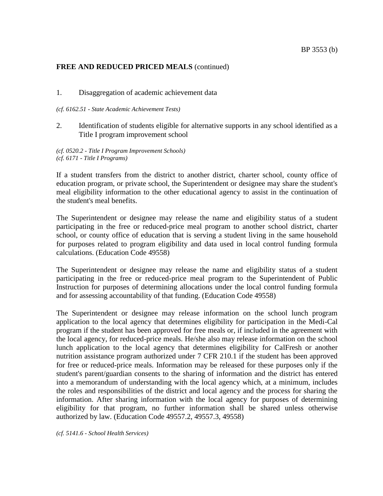### 1. Disaggregation of academic achievement data

#### *(cf. 6162.51 - State Academic Achievement Tests)*

2. Identification of students eligible for alternative supports in any school identified as a Title I program improvement school

*(cf. 0520.2 - Title I Program Improvement Schools) (cf. 6171 - Title I Programs)*

If a student transfers from the district to another district, charter school, county office of education program, or private school, the Superintendent or designee may share the student's meal eligibility information to the other educational agency to assist in the continuation of the student's meal benefits.

The Superintendent or designee may release the name and eligibility status of a student participating in the free or reduced-price meal program to another school district, charter school, or county office of education that is serving a student living in the same household for purposes related to program eligibility and data used in local control funding formula calculations. (Education Code 49558)

The Superintendent or designee may release the name and eligibility status of a student participating in the free or reduced-price meal program to the Superintendent of Public Instruction for purposes of determining allocations under the local control funding formula and for assessing accountability of that funding. (Education Code 49558)

The Superintendent or designee may release information on the school lunch program application to the local agency that determines eligibility for participation in the Medi-Cal program if the student has been approved for free meals or, if included in the agreement with the local agency, for reduced-price meals. He/she also may release information on the school lunch application to the local agency that determines eligibility for CalFresh or another nutrition assistance program authorized under 7 CFR 210.1 if the student has been approved for free or reduced-price meals. Information may be released for these purposes only if the student's parent/guardian consents to the sharing of information and the district has entered into a memorandum of understanding with the local agency which, at a minimum, includes the roles and responsibilities of the district and local agency and the process for sharing the information. After sharing information with the local agency for purposes of determining eligibility for that program, no further information shall be shared unless otherwise authorized by law. (Education Code 49557.2, 49557.3, 49558)

*(cf. 5141.6 - School Health Services)*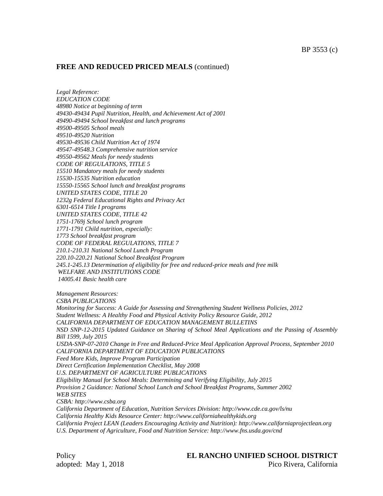*Legal Reference: EDUCATION CODE 48980 Notice at beginning of term 49430-49434 Pupil Nutrition, Health, and Achievement Act of 2001 49490-49494 School breakfast and lunch programs 49500-49505 School meals 49510-49520 Nutrition 49530-49536 Child Nutrition Act of 1974 49547-49548.3 Comprehensive nutrition service 49550-49562 Meals for needy students CODE OF REGULATIONS, TITLE 5 15510 Mandatory meals for needy students 15530-15535 Nutrition education 15550-15565 School lunch and breakfast programs UNITED STATES CODE, TITLE 20 1232g Federal Educational Rights and Privacy Act 6301-6514 Title I programs UNITED STATES CODE, TITLE 42 1751-1769j School lunch program 1771-1791 Child nutrition, especially: 1773 School breakfast program CODE OF FEDERAL REGULATIONS, TITLE 7 210.1-210.31 National School Lunch Program 220.10-220.21 National School Breakfast Program 245.1-245.13 Determination of eligibility for free and reduced-price meals and free milk WELFARE AND INSTITUTIONS CODE 14005.41 Basic health care*

*Management Resources: CSBA PUBLICATIONS Monitoring for Success: A Guide for Assessing and Strengthening Student Wellness Policies, 2012 Student Wellness: A Healthy Food and Physical Activity Policy Resource Guide, 2012 CALIFORNIA DEPARTMENT OF EDUCATION MANAGEMENT BULLETINS NSD SNP-12-2015 Updated Guidance on Sharing of School Meal Applications and the Passing of Assembly Bill 1599, July 2015 USDA-SNP-07-2010 Change in Free and Reduced-Price Meal Application Approval Process, September 2010 CALIFORNIA DEPARTMENT OF EDUCATION PUBLICATIONS Feed More Kids, Improve Program Participation Direct Certification Implementation Checklist, May 2008 U.S. DEPARTMENT OF AGRICULTURE PUBLICATIONS Eligibility Manual for School Meals: Determining and Verifying Eligibility, July 2015 Provision 2 Guidance: National School Lunch and School Breakfast Programs, Summer 2002 WEB SITES CSBA: http://www.csba.org California Department of Education, Nutrition Services Division: http://www.cde.ca.gov/ls/nu California Healthy Kids Resource Center: http://www.californiahealthykids.org California Project LEAN (Leaders Encouraging Activity and Nutrition): http://www.californiaprojectlean.org*

*U.S. Department of Agriculture, Food and Nutrition Service: http://www.fns.usda.gov/cnd*

adopted: May 1, 2018 Pico Rivera, California

### Policy **EL RANCHO UNIFIED SCHOOL DISTRICT**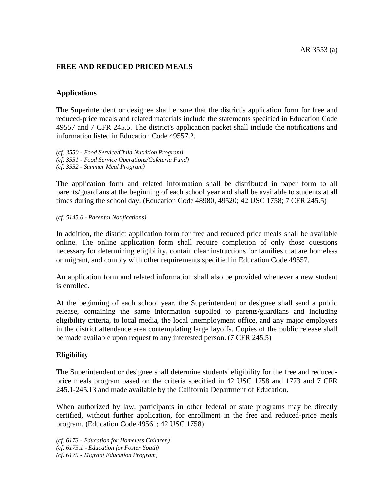# **FREE AND REDUCED PRICED MEALS**

## **Applications**

The Superintendent or designee shall ensure that the district's application form for free and reduced-price meals and related materials include the statements specified in Education Code 49557 and 7 CFR 245.5. The district's application packet shall include the notifications and information listed in Education Code 49557.2.

*(cf. 3550 - Food Service/Child Nutrition Program) (cf. 3551 - Food Service Operations/Cafeteria Fund) (cf. 3552 - Summer Meal Program)*

The application form and related information shall be distributed in paper form to all parents/guardians at the beginning of each school year and shall be available to students at all times during the school day. (Education Code 48980, 49520; 42 USC 1758; 7 CFR 245.5)

#### *(cf. 5145.6 - Parental Notifications)*

In addition, the district application form for free and reduced price meals shall be available online. The online application form shall require completion of only those questions necessary for determining eligibility, contain clear instructions for families that are homeless or migrant, and comply with other requirements specified in Education Code 49557.

An application form and related information shall also be provided whenever a new student is enrolled.

At the beginning of each school year, the Superintendent or designee shall send a public release, containing the same information supplied to parents/guardians and including eligibility criteria, to local media, the local unemployment office, and any major employers in the district attendance area contemplating large layoffs. Copies of the public release shall be made available upon request to any interested person. (7 CFR 245.5)

## **Eligibility**

The Superintendent or designee shall determine students' eligibility for the free and reducedprice meals program based on the criteria specified in 42 USC 1758 and 1773 and 7 CFR 245.1-245.13 and made available by the California Department of Education.

When authorized by law, participants in other federal or state programs may be directly certified, without further application, for enrollment in the free and reduced-price meals program. (Education Code 49561; 42 USC 1758)

*(cf. 6173 - Education for Homeless Children) (cf. 6173.1 - Education for Foster Youth) (cf. 6175 - Migrant Education Program)*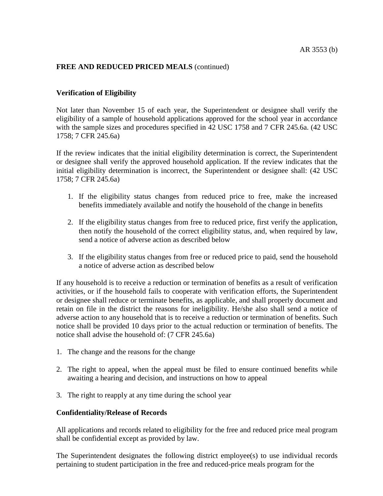# **Verification of Eligibility**

Not later than November 15 of each year, the Superintendent or designee shall verify the eligibility of a sample of household applications approved for the school year in accordance with the sample sizes and procedures specified in 42 USC 1758 and 7 CFR 245.6a. (42 USC 1758; 7 CFR 245.6a)

If the review indicates that the initial eligibility determination is correct, the Superintendent or designee shall verify the approved household application. If the review indicates that the initial eligibility determination is incorrect, the Superintendent or designee shall: (42 USC 1758; 7 CFR 245.6a)

- 1. If the eligibility status changes from reduced price to free, make the increased benefits immediately available and notify the household of the change in benefits
- 2. If the eligibility status changes from free to reduced price, first verify the application, then notify the household of the correct eligibility status, and, when required by law, send a notice of adverse action as described below
- 3. If the eligibility status changes from free or reduced price to paid, send the household a notice of adverse action as described below

If any household is to receive a reduction or termination of benefits as a result of verification activities, or if the household fails to cooperate with verification efforts, the Superintendent or designee shall reduce or terminate benefits, as applicable, and shall properly document and retain on file in the district the reasons for ineligibility. He/she also shall send a notice of adverse action to any household that is to receive a reduction or termination of benefits. Such notice shall be provided 10 days prior to the actual reduction or termination of benefits. The notice shall advise the household of: (7 CFR 245.6a)

- 1. The change and the reasons for the change
- 2. The right to appeal, when the appeal must be filed to ensure continued benefits while awaiting a hearing and decision, and instructions on how to appeal
- 3. The right to reapply at any time during the school year

### **Confidentiality/Release of Records**

All applications and records related to eligibility for the free and reduced price meal program shall be confidential except as provided by law.

The Superintendent designates the following district employee(s) to use individual records pertaining to student participation in the free and reduced-price meals program for the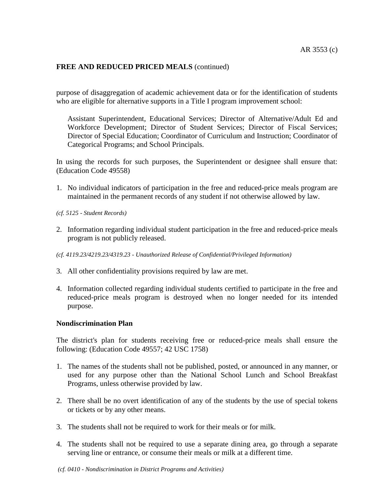purpose of disaggregation of academic achievement data or for the identification of students who are eligible for alternative supports in a Title I program improvement school:

Assistant Superintendent, Educational Services; Director of Alternative/Adult Ed and Workforce Development; Director of Student Services; Director of Fiscal Services; Director of Special Education; Coordinator of Curriculum and Instruction; Coordinator of Categorical Programs; and School Principals.

In using the records for such purposes, the Superintendent or designee shall ensure that: (Education Code 49558)

- 1. No individual indicators of participation in the free and reduced-price meals program are maintained in the permanent records of any student if not otherwise allowed by law.
- *(cf. 5125 - Student Records)*
- 2. Information regarding individual student participation in the free and reduced-price meals program is not publicly released.
- *(cf. 4119.23/4219.23/4319.23 - Unauthorized Release of Confidential/Privileged Information)*
- 3. All other confidentiality provisions required by law are met.
- 4. Information collected regarding individual students certified to participate in the free and reduced-price meals program is destroyed when no longer needed for its intended purpose.

### **Nondiscrimination Plan**

The district's plan for students receiving free or reduced-price meals shall ensure the following: (Education Code 49557; 42 USC 1758)

- 1. The names of the students shall not be published, posted, or announced in any manner, or used for any purpose other than the National School Lunch and School Breakfast Programs, unless otherwise provided by law.
- 2. There shall be no overt identification of any of the students by the use of special tokens or tickets or by any other means.
- 3. The students shall not be required to work for their meals or for milk.
- 4. The students shall not be required to use a separate dining area, go through a separate serving line or entrance, or consume their meals or milk at a different time.